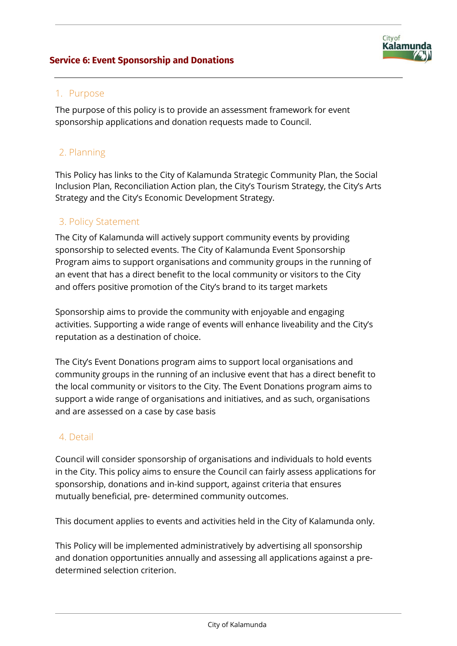### **Service 6: Event Sponsorship and Donations**



### 1. Purpose

The purpose of this policy is to provide an assessment framework for event sponsorship applications and donation requests made to Council.

### 2. Planning

This Policy has links to the City of Kalamunda Strategic Community Plan, the Social Inclusion Plan, Reconciliation Action plan, the City's Tourism Strategy, the City's Arts Strategy and the City's Economic Development Strategy.

### 3. Policy Statement

The City of Kalamunda will actively support community events by providing sponsorship to selected events. The City of Kalamunda Event Sponsorship Program aims to support organisations and community groups in the running of an event that has a direct benefit to the local community or visitors to the City and offers positive promotion of the City's brand to its target markets

Sponsorship aims to provide the community with enjoyable and engaging activities. Supporting a wide range of events will enhance liveability and the City's reputation as a destination of choice.

The City's Event Donations program aims to support local organisations and community groups in the running of an inclusive event that has a direct benefit to the local community or visitors to the City. The Event Donations program aims to support a wide range of organisations and initiatives, and as such, organisations and are assessed on a case by case basis

### 4. Detail

Council will consider sponsorship of organisations and individuals to hold events in the City. This policy aims to ensure the Council can fairly assess applications for sponsorship, donations and in-kind support, against criteria that ensures mutually beneficial, pre- determined community outcomes.

This document applies to events and activities held in the City of Kalamunda only.

This Policy will be implemented administratively by advertising all sponsorship and donation opportunities annually and assessing all applications against a predetermined selection criterion.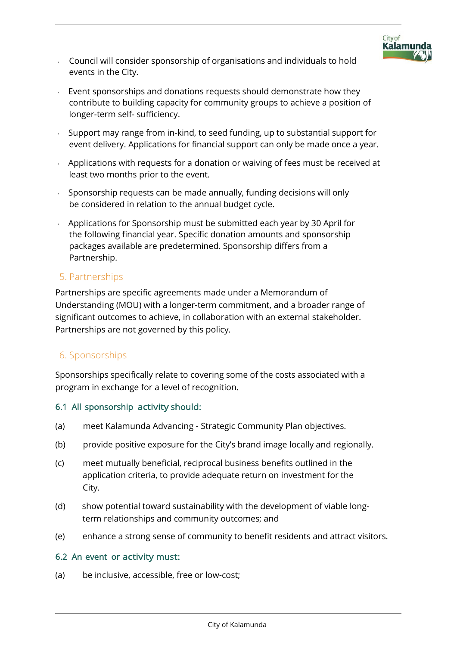

- Council will consider sponsorship of organisations and individuals to hold events in the City.
- Event sponsorships and donations requests should demonstrate how they contribute to building capacity for community groups to achieve a position of longer-term self- sufficiency.
- Support may range from in-kind, to seed funding, up to substantial support for event delivery. Applications for financial support can only be made once a year.
- Applications with requests for a donation or waiving of fees must be received at least two months prior to the event.
- $\sim$  Sponsorship requests can be made annually, funding decisions will only be considered in relation to the annual budget cycle.
- Applications for Sponsorship must be submitted each year by 30 April for the following financial year. Specific donation amounts and sponsorship packages available are predetermined. Sponsorship differs from a Partnership.

### 5. Partnerships

Partnerships are specific agreements made under a Memorandum of Understanding (MOU) with a longer-term commitment, and a broader range of significant outcomes to achieve, in collaboration with an external stakeholder. Partnerships are not governed by this policy.

# 6. Sponsorships

Sponsorships specifically relate to covering some of the costs associated with a program in exchange for a level of recognition.

### 6.1 All sponsorship activity should:

- (a) meet Kalamunda Advancing Strategic Community Plan objectives.
- (b) provide positive exposure for the City's brand image locally and regionally.
- (c) meet mutually beneficial, reciprocal business benefits outlined in the application criteria, to provide adequate return on investment for the City.
- (d) show potential toward sustainability with the development of viable longterm relationships and community outcomes; and
- (e) enhance a strong sense of community to benefit residents and attract visitors.

### 6.2 An event or activity must:

(a) be inclusive, accessible, free or low-cost;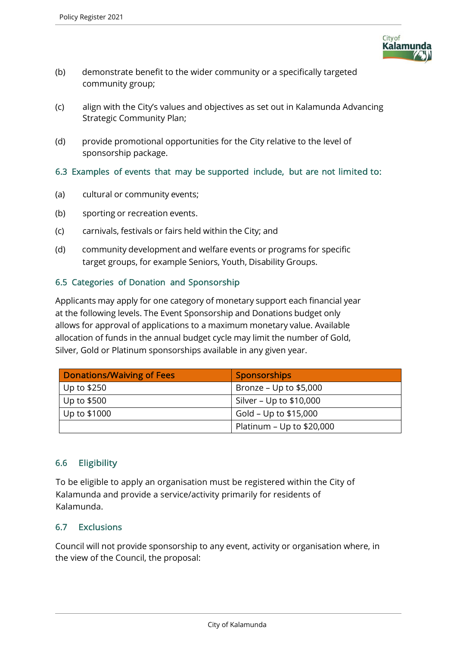

- (b) demonstrate benefit to the wider community or a specifically targeted community group;
- (c) align with the City's values and objectives as set out in Kalamunda Advancing Strategic Community Plan;
- (d) provide promotional opportunities for the City relative to the level of sponsorship package.

### 6.3 Examples of events that may be supported include, but are not limited to:

- (a) cultural or community events;
- (b) sporting or recreation events.
- (c) carnivals, festivals or fairs held within the City; and
- (d) community development and welfare events or programs for specific target groups, for example Seniors, Youth, Disability Groups.

### 6.5 Categories of Donation and Sponsorship

Applicants may apply for one category of monetary support each financial year at the following levels. The Event Sponsorship and Donations budget only allows for approval of applications to a maximum monetary value. Available allocation of funds in the annual budget cycle may limit the number of Gold, Silver, Gold or Platinum sponsorships available in any given year.

| <b>Donations/Waiving of Fees</b> | <b>Sponsorships</b>        |
|----------------------------------|----------------------------|
| Up to $$250$                     | Bronze – Up to $$5,000$    |
| Up to \$500                      | Silver – Up to $$10,000$   |
| Up to \$1000                     | Gold - Up to \$15,000      |
|                                  | Platinum – Up to $$20,000$ |

# 6.6 Eligibility

To be eligible to apply an organisation must be registered within the City of Kalamunda and provide a service/activity primarily for residents of Kalamunda.

### 6.7 Exclusions

Council will not provide sponsorship to any event, activity or organisation where, in the view of the Council, the proposal: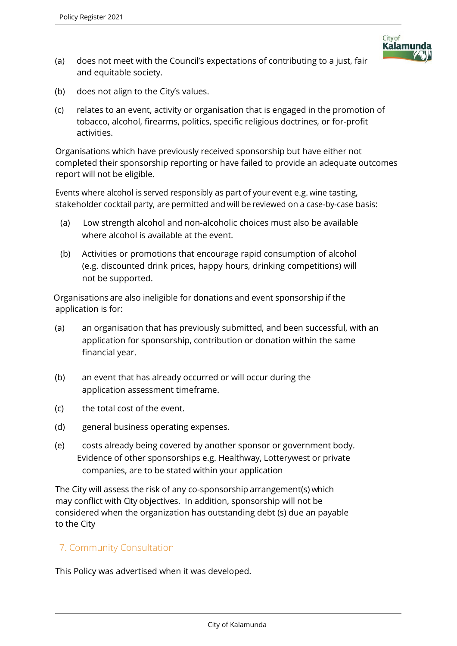

- (a) does not meet with the Council's expectations of contributing to a just, fair and equitable society.
- (b) does not align to the City's values.
- (c) relates to an event, activity or organisation that is engaged in the promotion of tobacco, alcohol, firearms, politics, specific religious doctrines, or for-profit activities.

Organisations which have previously received sponsorship but have either not completed their sponsorship reporting or have failed to provide an adequate outcomes report will not be eligible.

Events where alcohol is served responsibly as part of your event e.g. wine tasting, stakeholder cocktail party, are permitted and will be reviewed on a case-by-case basis:

- (a) Low strength alcohol and non-alcoholic choices must also be available where alcohol is available at the event.
- (b) Activities or promotions that encourage rapid consumption of alcohol (e.g. discounted drink prices, happy hours, drinking competitions) will not be supported.

Organisations are also ineligible for donations and event sponsorship if the application is for:

- (a) an organisation that has previously submitted, and been successful, with an application for sponsorship, contribution or donation within the same financial year.
- (b) an event that has already occurred or will occur during the application assessment timeframe.
- (c) the total cost of the event.
- (d) general business operating expenses.
- (e) costs already being covered by another sponsor or government body. Evidence of other sponsorships e.g. Healthway, Lotterywest or private companies, are to be stated within your application

The City will assess the risk of any co-sponsorship arrangement(s) which may conflict with City objectives. In addition, sponsorship will not be considered when the organization has outstanding debt (s) due an payable to the City

# 7. Community Consultation

This Policy was advertised when it was developed.